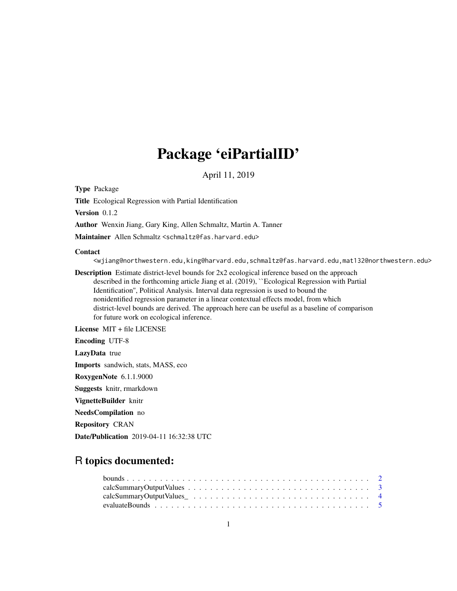# Package 'eiPartialID'

April 11, 2019

Type Package

Title Ecological Regression with Partial Identification

Version 0.1.2

Author Wenxin Jiang, Gary King, Allen Schmaltz, Martin A. Tanner

Maintainer Allen Schmaltz <schmaltz@fas.harvard.edu>

#### Contact

<wjiang@northwestern.edu,king@harvard.edu,schmaltz@fas.harvard.edu,mat132@northwestern.edu>

Description Estimate district-level bounds for  $2x2$  ecological inference based on the approach described in the forthcoming article Jiang et al. (2019), ``Ecological Regression with Partial Identification'', Political Analysis. Interval data regression is used to bound the nonidentified regression parameter in a linear contextual effects model, from which district-level bounds are derived. The approach here can be useful as a baseline of comparison for future work on ecological inference.

License MIT + file LICENSE

Encoding UTF-8 LazyData true

Imports sandwich, stats, MASS, eco RoxygenNote 6.1.1.9000 Suggests knitr, rmarkdown VignetteBuilder knitr NeedsCompilation no Repository CRAN

Date/Publication 2019-04-11 16:32:38 UTC

## R topics documented: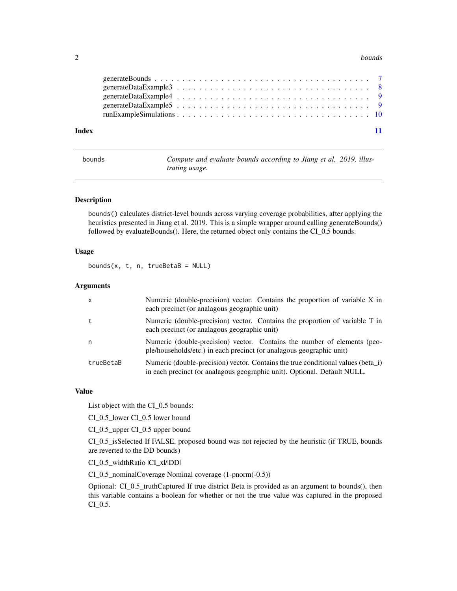#### <span id="page-1-0"></span> $2 \t\t\t 2$

| Index |  |  |  |  |  |  |  |  |  |  |  |  |  |  |  |  |  |  |
|-------|--|--|--|--|--|--|--|--|--|--|--|--|--|--|--|--|--|--|

| bounds | Compute and evaluate bounds according to Jiang et al. 2019, illus- |  |
|--------|--------------------------------------------------------------------|--|
|        | <i>trating usage.</i>                                              |  |

#### Description

bounds() calculates district-level bounds across varying coverage probabilities, after applying the heuristics presented in Jiang et al. 2019. This is a simple wrapper around calling generateBounds() followed by evaluateBounds(). Here, the returned object only contains the CI\_0.5 bounds.

#### Usage

bounds( $x$ ,  $t$ ,  $n$ ,  $trueBeta = NULL$ )

#### Arguments

| $\mathsf{x}$ | Numeric (double-precision) vector. Contains the proportion of variable X in<br>each precinct (or analagous geographic unit)                                  |
|--------------|--------------------------------------------------------------------------------------------------------------------------------------------------------------|
| t            | Numeric (double-precision) vector. Contains the proportion of variable T in<br>each precinct (or analagous geographic unit)                                  |
| n            | Numeric (double-precision) vector. Contains the number of elements (peo-<br>ple/households/etc.) in each precinct (or analagous geographic unit)             |
| trueBetaB    | Numeric (double-precision) vector. Contains the true conditional values (beta_i)<br>in each precinct (or analagous geographic unit). Optional. Default NULL. |

#### Value

List object with the CI\_0.5 bounds:

CI\_0.5\_lower CI\_0.5 lower bound

CI\_0.5\_upper CI\_0.5 upper bound

CI\_0.5\_isSelected If FALSE, proposed bound was not rejected by the heuristic (if TRUE, bounds are reverted to the DD bounds)

CI\_0.5\_widthRatio |CI\_x|/|DD|

CI\_0.5\_nominalCoverage Nominal coverage (1-pnorm(-0.5))

Optional: CI\_0.5\_truthCaptured If true district Beta is provided as an argument to bounds(), then this variable contains a boolean for whether or not the true value was captured in the proposed CI\_0.5.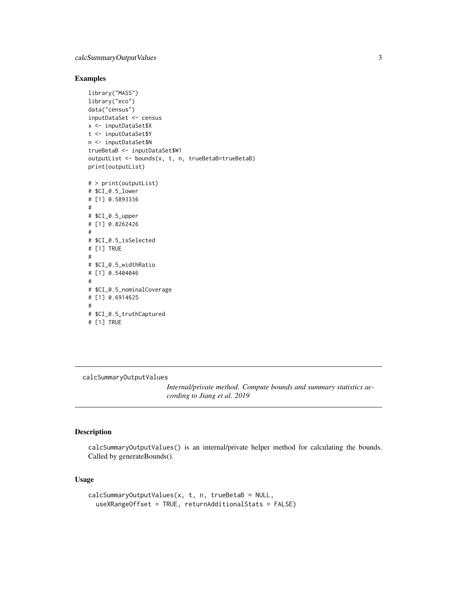#### <span id="page-2-0"></span>Examples

```
library("MASS")
library("eco")
data("census")
inputDataSet <- census
x <- inputDataSet$X
t <- inputDataSet$Y
n <- inputDataSet$N
trueBetaB <- inputDataSet$W1
outputList <- bounds(x, t, n, trueBetaB=trueBetaB)
print(outputList)
# > print(outputList)
# $CI_0.5_lower
# [1] 0.5893336
#
# $CI_0.5_upper
# [1] 0.8262426
#
# $CI_0.5_isSelected
# [1] TRUE
#
# $CI_0.5_widthRatio
# [1] 0.5404046
#
# $CI_0.5_nominalCoverage
# [1] 0.6914625
#
# $CI_0.5_truthCaptured
# [1] TRUE
```
calcSummaryOutputValues

*Internal/private method. Compute bounds and summary statistics according to Jiang et al. 2019*

#### Description

calcSummaryOutputValues() is an internal/private helper method for calculating the bounds. Called by generateBounds().

#### Usage

```
calcSummaryOutputValues(x, t, n, trueBetaB = NULL,
  useXRangeOffset = TRUE, returnAdditionalStats = FALSE)
```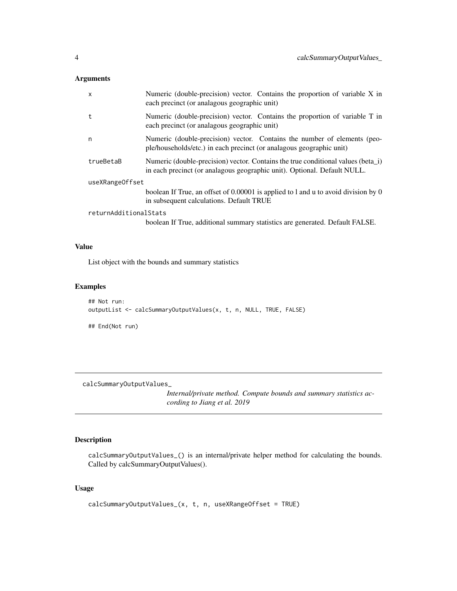#### <span id="page-3-0"></span>Arguments

| $\mathsf{x}$          | Numeric (double-precision) vector. Contains the proportion of variable X in<br>each precinct (or analagous geographic unit)                                  |
|-----------------------|--------------------------------------------------------------------------------------------------------------------------------------------------------------|
| t                     | Numeric (double-precision) vector. Contains the proportion of variable T in<br>each precinct (or analagous geographic unit)                                  |
| n                     | Numeric (double-precision) vector. Contains the number of elements (peo-<br>ple/households/etc.) in each precinct (or analagous geographic unit)             |
| trueBetaB             | Numeric (double-precision) vector. Contains the true conditional values (beta_i)<br>in each precinct (or analagous geographic unit). Optional. Default NULL. |
| useXRangeOffset       |                                                                                                                                                              |
|                       | boolean If True, an offset of 0.00001 is applied to 1 and u to avoid division by 0<br>in subsequent calculations. Default TRUE                               |
| returnAdditionalStats |                                                                                                                                                              |
|                       | boolean If True, additional summary statistics are generated. Default FALSE.                                                                                 |

#### Value

List object with the bounds and summary statistics

#### Examples

```
## Not run:
outputList <- calcSummaryOutputValues(x, t, n, NULL, TRUE, FALSE)
## End(Not run)
```
calcSummaryOutputValues\_

*Internal/private method. Compute bounds and summary statistics according to Jiang et al. 2019*

#### Description

calcSummaryOutputValues\_() is an internal/private helper method for calculating the bounds. Called by calcSummaryOutputValues().

#### Usage

```
calcSummaryOutputValues_(x, t, n, useXRangeOffset = TRUE)
```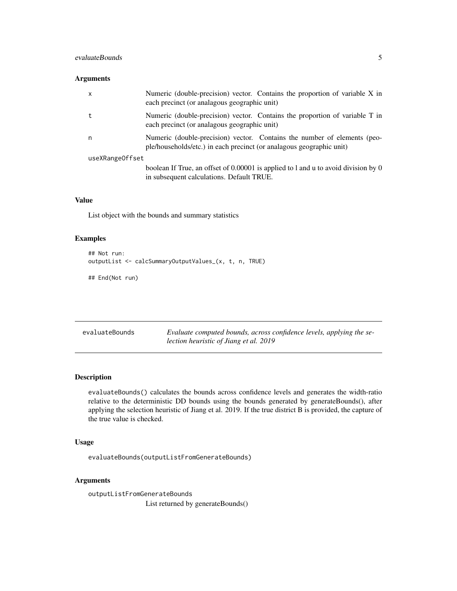#### <span id="page-4-0"></span>evaluateBounds 5

#### Arguments

| x               | Numeric (double-precision) vector. Contains the proportion of variable X in<br>each precinct (or analagous geographic unit)                      |
|-----------------|--------------------------------------------------------------------------------------------------------------------------------------------------|
|                 | Numeric (double-precision) vector. Contains the proportion of variable T in<br>each precinct (or analagous geographic unit)                      |
| n               | Numeric (double-precision) vector. Contains the number of elements (peo-<br>ple/households/etc.) in each precinct (or analagous geographic unit) |
| useXRangeOffset |                                                                                                                                                  |
|                 | boolean If True, an offset of 0.00001 is applied to 1 and u to avoid division by 0<br>in subsequent calculations. Default TRUE.                  |

#### Value

List object with the bounds and summary statistics

#### Examples

```
## Not run:
outputList <- calcSummaryOutputValues_(x, t, n, TRUE)
```
## End(Not run)

| evaluateBounds | Evaluate computed bounds, across confidence levels, applying the se- |
|----------------|----------------------------------------------------------------------|
|                | lection heuristic of Jiang et al. 2019                               |

#### Description

evaluateBounds() calculates the bounds across confidence levels and generates the width-ratio relative to the deterministic DD bounds using the bounds generated by generateBounds(), after applying the selection heuristic of Jiang et al. 2019. If the true district B is provided, the capture of the true value is checked.

#### Usage

evaluateBounds(outputListFromGenerateBounds)

#### Arguments

outputListFromGenerateBounds List returned by generateBounds()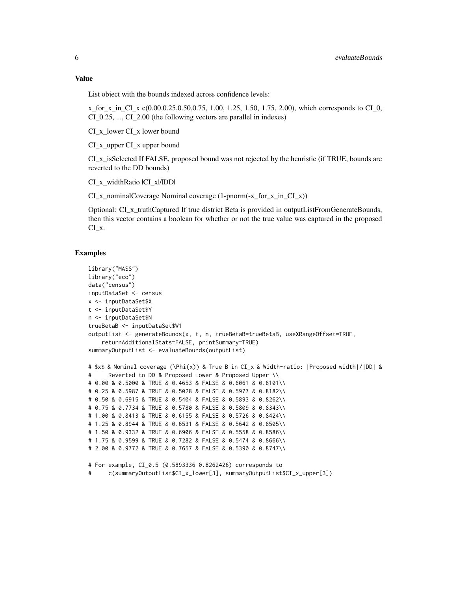#### Value

List object with the bounds indexed across confidence levels:

x for x in CI x  $c(0.00, 0.25, 0.50, 0.75, 1.00, 1.25, 1.50, 1.75, 2.00)$ , which corresponds to CI 0, CI\_0.25, ..., CI\_2.00 (the following vectors are parallel in indexes)

CI\_x\_lower CI\_x lower bound

CI\_x\_upper CI\_x upper bound

CI\_x\_isSelected If FALSE, proposed bound was not rejected by the heuristic (if TRUE, bounds are reverted to the DD bounds)

CI\_x\_widthRatio |CI\_x|/|DD|

 $CI_x$  nominalCoverage Nominal coverage (1-pnorm(-x\_for\_x\_in\_CI\_x))

Optional: CI\_x\_truthCaptured If true district Beta is provided in outputListFromGenerateBounds, then this vector contains a boolean for whether or not the true value was captured in the proposed CI\_x.

#### Examples

```
library("MASS")
library("eco")
data("census")
inputDataSet <- census
x <- inputDataSet$X
t <- inputDataSet$Y
n <- inputDataSet$N
trueBetaB <- inputDataSet$W1
outputList <- generateBounds(x, t, n, trueBetaB=trueBetaB, useXRangeOffset=TRUE,
    returnAdditionalStats=FALSE, printSummary=TRUE)
summaryOutputList <- evaluateBounds(outputList)
# $x$ & Nominal coverage (\Phi(x)) & True B in CI_x & Width-ratio: |Proposed width|/|DD| &
# Reverted to DD & Proposed Lower & Proposed Upper \\
# 0.00 & 0.5000 & TRUE & 0.4653 & FALSE & 0.6061 & 0.8101\\
# 0.25 & 0.5987 & TRUE & 0.5028 & FALSE & 0.5977 & 0.8182\\
# 0.50 & 0.6915 & TRUE & 0.5404 & FALSE & 0.5893 & 0.8262\\
# 0.75 & 0.7734 & TRUE & 0.5780 & FALSE & 0.5809 & 0.8343\\
# 1.00 & 0.8413 & TRUE & 0.6155 & FALSE & 0.5726 & 0.8424\\
# 1.25 & 0.8944 & TRUE & 0.6531 & FALSE & 0.5642 & 0.8505\\
# 1.50 & 0.9332 & TRUE & 0.6906 & FALSE & 0.5558 & 0.8586\\
# 1.75 & 0.9599 & TRUE & 0.7282 & FALSE & 0.5474 & 0.8666\\
# 2.00 & 0.9772 & TRUE & 0.7657 & FALSE & 0.5390 & 0.8747\\
# For example, CI_0.5 (0.5893336 0.8262426) corresponds to
      # c(summaryOutputList$CI_x_lower[3], summaryOutputList$CI_x_upper[3])
```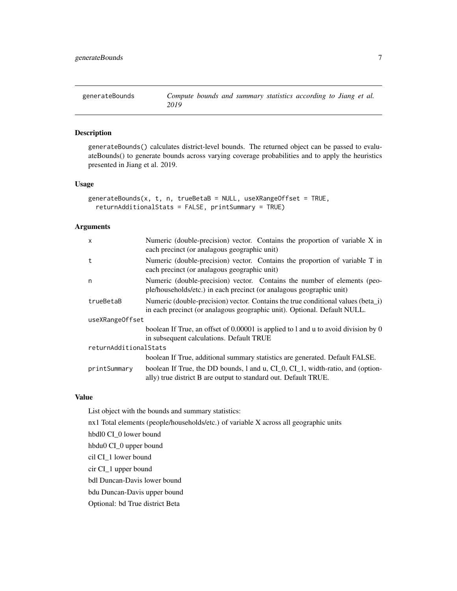<span id="page-6-0"></span>

#### Description

generateBounds() calculates district-level bounds. The returned object can be passed to evaluateBounds() to generate bounds across varying coverage probabilities and to apply the heuristics presented in Jiang et al. 2019.

#### Usage

```
generateBounds(x, t, n, trueBetaB = NULL, useXRangeOffset = TRUE,
 returnAdditionalStats = FALSE, printSummary = TRUE)
```
#### Arguments

| $\mathsf{x}$          | Numeric (double-precision) vector. Contains the proportion of variable X in<br>each precinct (or analagous geographic unit)                                  |
|-----------------------|--------------------------------------------------------------------------------------------------------------------------------------------------------------|
| t                     | Numeric (double-precision) vector. Contains the proportion of variable T in<br>each precinct (or analagous geographic unit)                                  |
| n                     | Numeric (double-precision) vector. Contains the number of elements (peo-<br>ple/households/etc.) in each precinct (or analagous geographic unit)             |
| trueBetaB             | Numeric (double-precision) vector. Contains the true conditional values (beta_i)<br>in each precinct (or analagous geographic unit). Optional. Default NULL. |
| useXRangeOffset       |                                                                                                                                                              |
|                       | boolean If True, an offset of 0.00001 is applied to 1 and u to avoid division by 0<br>in subsequent calculations. Default TRUE                               |
| returnAdditionalStats |                                                                                                                                                              |
|                       | boolean If True, additional summary statistics are generated. Default FALSE.                                                                                 |
| printSummary          | boolean If True, the DD bounds, 1 and u, CI_0, CI_1, width-ratio, and (option-<br>ally) true district B are output to standard out. Default TRUE.            |

#### Value

List object with the bounds and summary statistics:

nx1 Total elements (people/households/etc.) of variable X across all geographic units

hbdl0 CI\_0 lower bound

hbdu0 CI\_0 upper bound

cil CI\_1 lower bound

cir CI\_1 upper bound

bdl Duncan-Davis lower bound

bdu Duncan-Davis upper bound

Optional: bd True district Beta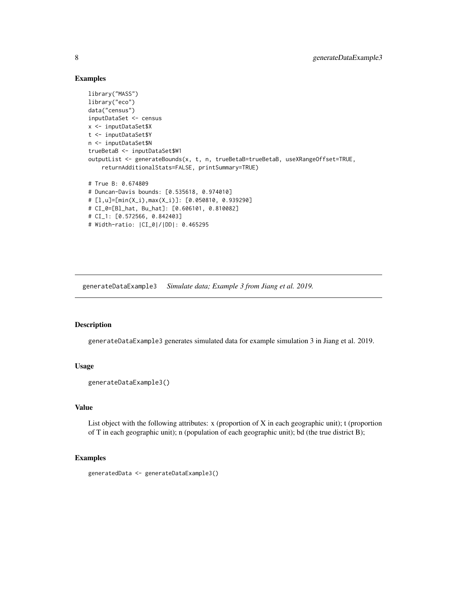#### Examples

```
library("MASS")
library("eco")
data("census")
inputDataSet <- census
x <- inputDataSet$X
t <- inputDataSet$Y
n <- inputDataSet$N
trueBetaB <- inputDataSet$W1
outputList <- generateBounds(x, t, n, trueBetaB=trueBetaB, useXRangeOffset=TRUE,
    returnAdditionalStats=FALSE, printSummary=TRUE)
# True B: 0.674809
# Duncan-Davis bounds: [0.535618, 0.974010]
# [l,u]=[min(X_i),max(X_i)]: [0.050810, 0.939290]
# CI_0=[Bl_hat, Bu_hat]: [0.606101, 0.810082]
# CI_1: [0.572566, 0.842403]
# Width-ratio: |CI_0|/|DD|: 0.465295
```
generateDataExample3 *Simulate data; Example 3 from Jiang et al. 2019.*

#### Description

generateDataExample3 generates simulated data for example simulation 3 in Jiang et al. 2019.

#### Usage

```
generateDataExample3()
```
#### Value

List object with the following attributes: x (proportion of X in each geographic unit); t (proportion of T in each geographic unit); n (population of each geographic unit); bd (the true district B);

#### Examples

```
generatedData <- generateDataExample3()
```
<span id="page-7-0"></span>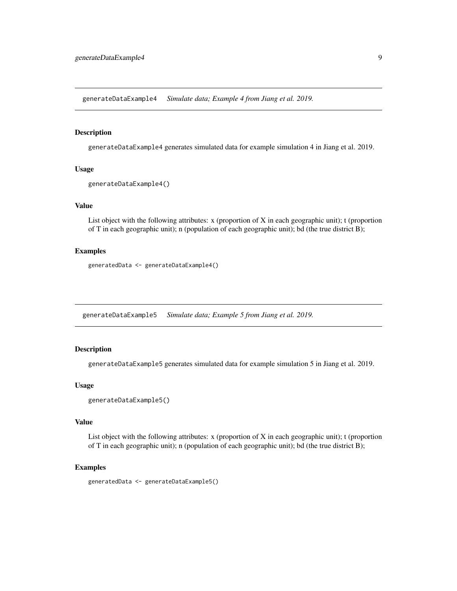<span id="page-8-0"></span>generateDataExample4 *Simulate data; Example 4 from Jiang et al. 2019.*

#### Description

generateDataExample4 generates simulated data for example simulation 4 in Jiang et al. 2019.

#### Usage

```
generateDataExample4()
```
### Value

List object with the following attributes: x (proportion of X in each geographic unit); t (proportion of T in each geographic unit); n (population of each geographic unit); bd (the true district B);

#### Examples

generatedData <- generateDataExample4()

generateDataExample5 *Simulate data; Example 5 from Jiang et al. 2019.*

#### Description

generateDataExample5 generates simulated data for example simulation 5 in Jiang et al. 2019.

#### Usage

```
generateDataExample5()
```
#### Value

List object with the following attributes: x (proportion of X in each geographic unit); t (proportion of T in each geographic unit); n (population of each geographic unit); bd (the true district B);

#### Examples

generatedData <- generateDataExample5()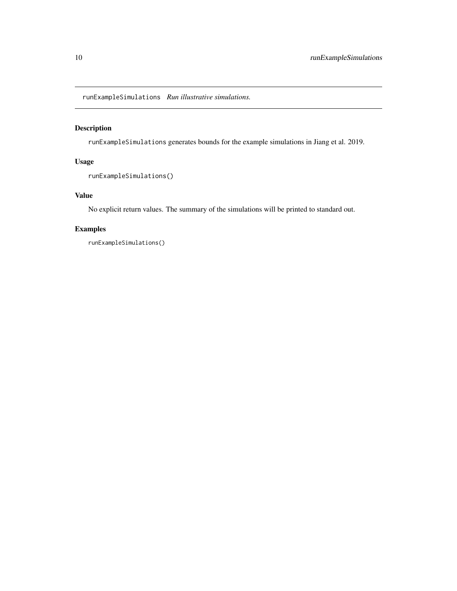<span id="page-9-0"></span>runExampleSimulations *Run illustrative simulations.*

#### Description

runExampleSimulations generates bounds for the example simulations in Jiang et al. 2019.

#### Usage

```
runExampleSimulations()
```
#### Value

No explicit return values. The summary of the simulations will be printed to standard out.

#### Examples

runExampleSimulations()